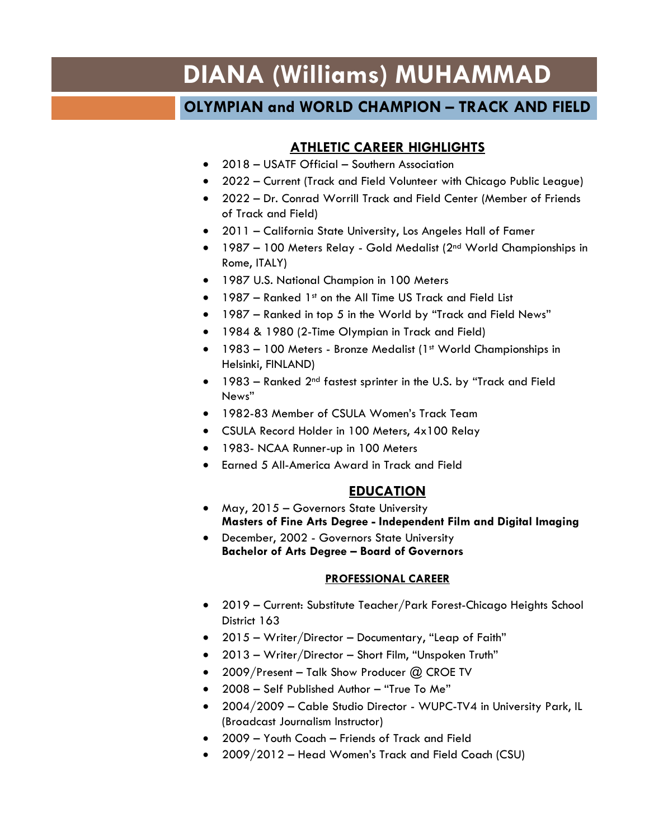# **DIANA (Williams) MUHAMMAD**

## **OLYMPIAN and WORLD CHAMPION – TRACK AND FIELD**

### **ATHLETIC CAREER HIGHLIGHTS**

- 2018 USATF Official Southern Association
- 2022 Current (Track and Field Volunteer with Chicago Public League)
- 2022 Dr. Conrad Worrill Track and Field Center (Member of Friends of Track and Field)
- 2011 California State University, Los Angeles Hall of Famer
- 1987 100 Meters Relay Gold Medalist (2<sup>nd</sup> World Championships in Rome, ITALY)
- 1987 U.S. National Champion in 100 Meters
- 1987 Ranked 1st on the All Time US Track and Field List
- 1987 Ranked in top 5 in the World by "Track and Field News"
- 1984 & 1980 (2-Time Olympian in Track and Field)
- 1983 100 Meters Bronze Medalist (1<sup>st</sup> World Championships in Helsinki, FINLAND)
- 1983 Ranked 2<sup>nd</sup> fastest sprinter in the U.S. by "Track and Field News"
- 1982-83 Member of CSULA Women's Track Team
- CSULA Record Holder in 100 Meters, 4x100 Relay
- 1983- NCAA Runner-up in 100 Meters
- Earned 5 All-America Award in Track and Field

#### **EDUCATION**

- May, 2015 Governors State University **Masters of Fine Arts Degree - Independent Film and Digital Imaging**
- December, 2002 Governors State University **Bachelor of Arts Degree – Board of Governors**

#### **PROFESSIONAL CAREER**

- 2019 Current: Substitute Teacher/Park Forest-Chicago Heights School District 163
- 2015 Writer/Director Documentary, "Leap of Faith"
- 2013 Writer/Director Short Film, "Unspoken Truth"
- 2009/Present Talk Show Producer @ CROE TV
- 2008 Self Published Author "True To Me"
- 2004/2009 Cable Studio Director WUPC-TV4 in University Park, IL (Broadcast Journalism Instructor)
- 2009 Youth Coach Friends of Track and Field
- 2009/2012 Head Women's Track and Field Coach (CSU)